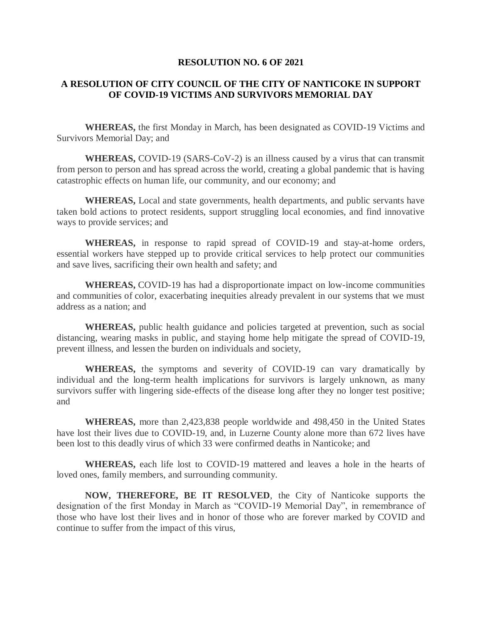## **RESOLUTION NO. 6 OF 2021**

## **A RESOLUTION OF CITY COUNCIL OF THE CITY OF NANTICOKE IN SUPPORT OF COVID-19 VICTIMS AND SURVIVORS MEMORIAL DAY**

**WHEREAS,** the first Monday in March, has been designated as COVID-19 Victims and Survivors Memorial Day; and

**WHEREAS,** COVID-19 (SARS-CoV-2) is an illness caused by a virus that can transmit from person to person and has spread across the world, creating a global pandemic that is having catastrophic effects on human life, our community, and our economy; and

**WHEREAS,** Local and state governments, health departments, and public servants have taken bold actions to protect residents, support struggling local economies, and find innovative ways to provide services; and

**WHEREAS,** in response to rapid spread of COVID-19 and stay-at-home orders, essential workers have stepped up to provide critical services to help protect our communities and save lives, sacrificing their own health and safety; and

**WHEREAS,** COVID-19 has had a disproportionate impact on low-income communities and communities of color, exacerbating inequities already prevalent in our systems that we must address as a nation; and

**WHEREAS,** public health guidance and policies targeted at prevention, such as social distancing, wearing masks in public, and staying home help mitigate the spread of COVID-19, prevent illness, and lessen the burden on individuals and society,

**WHEREAS,** the symptoms and severity of COVID-19 can vary dramatically by individual and the long-term health implications for survivors is largely unknown, as many survivors suffer with lingering side-effects of the disease long after they no longer test positive; and

**WHEREAS,** more than 2,423,838 people worldwide and 498,450 in the United States have lost their lives due to COVID-19, and, in Luzerne County alone more than 672 lives have been lost to this deadly virus of which 33 were confirmed deaths in Nanticoke; and

**WHEREAS,** each life lost to COVID-19 mattered and leaves a hole in the hearts of loved ones, family members, and surrounding community.

**NOW, THEREFORE, BE IT RESOLVED**, the City of Nanticoke supports the designation of the first Monday in March as "COVID-19 Memorial Day", in remembrance of those who have lost their lives and in honor of those who are forever marked by COVID and continue to suffer from the impact of this virus,